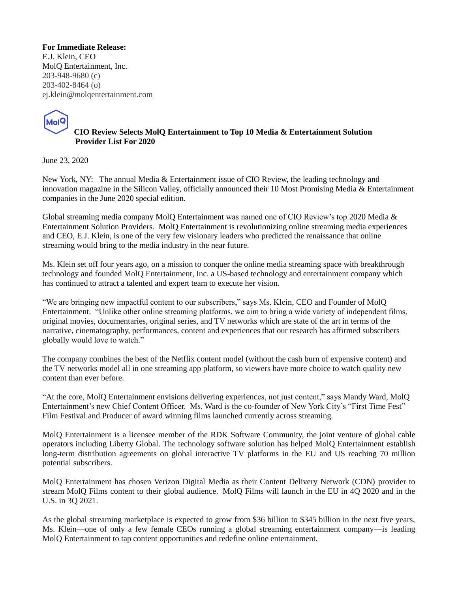**For Immediate Release:**  E.J. Klein, CEO MolQ Entertainment, Inc. 203-948-9680 (c) 203-402-8464 (o) [ej.klein@molqentertainment.com](mailto:ej.klein@molqentertainment.com)



 **CIO Review Selects MolQ Entertainment to Top 10 Media & Entertainment Solution Provider List For 2020**

June 23, 2020

New York, NY: The annual Media & Entertainment issue of CIO Review, the leading technology and innovation magazine in the Silicon Valley, officially announced their 10 Most Promising Media & Entertainment companies in the June 2020 special edition.

Global streaming media company MolQ Entertainment was named one of CIO Review's top 2020 Media & Entertainment Solution Providers. MolQ Entertainment is revolutionizing online streaming media experiences and CEO, E.J. Klein, is one of the very few visionary leaders who predicted the renaissance that online streaming would bring to the media industry in the near future.

Ms. Klein set off four years ago, on a mission to conquer the online media streaming space with breakthrough technology and founded MolQ Entertainment, Inc. a US-based technology and entertainment company which has continued to attract a talented and expert team to execute her vision.

"We are bringing new impactful content to our subscribers," says Ms. Klein, CEO and Founder of MolQ Entertainment. "Unlike other online streaming platforms, we aim to bring a wide variety of independent films, original movies, documentaries, original series, and TV networks which are state of the art in terms of the narrative, cinematography, performances, content and experiences that our research has affirmed subscribers globally would love to watch."

The company combines the best of the Netflix content model (without the cash burn of expensive content) and the TV networks model all in one streaming app platform, so viewers have more choice to watch quality new content than ever before.

"At the core, MolQ Entertainment envisions delivering experiences, not just content," says Mandy Ward, MolQ Entertainment's new Chief Content Officer. Ms. Ward is the co-founder of New York City's "First Time Fest" Film Festival and Producer of award winning films launched currently across streaming.

MolQ Entertainment is a licensee member of the RDK Software Community, the joint venture of global cable operators including Liberty Global. The technology software solution has helped MolQ Entertainment establish long-term distribution agreements on global interactive TV platforms in the EU and US reaching 70 million potential subscribers.

MolQ Entertainment has chosen Verizon Digital Media as their Content Delivery Network (CDN) provider to stream MolQ Films content to their global audience. MolQ Films will launch in the EU in 4Q 2020 and in the U.S. in 3Q 2021.

As the global streaming marketplace is expected to grow from \$36 billion to \$345 billion in the next five years, Ms. Klein—one of only a few female CEOs running a global streaming entertainment company—is leading MolQ Entertainment to tap content opportunities and redefine online entertainment.